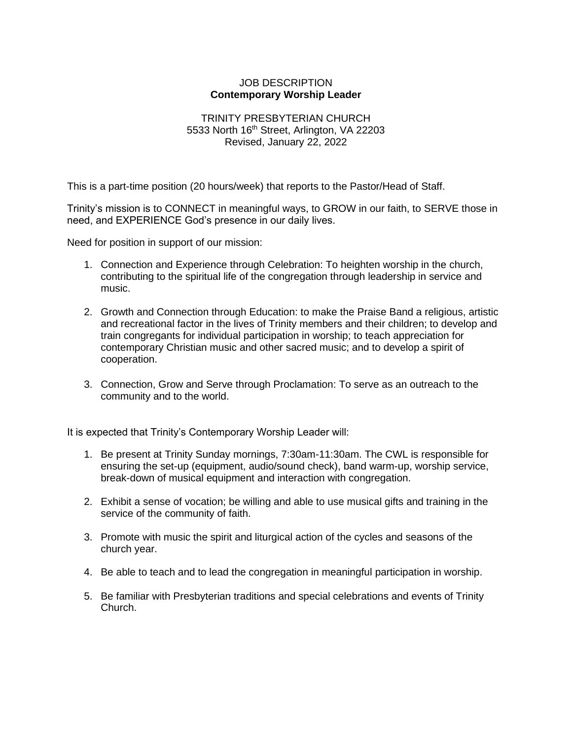## JOB DESCRIPTION **Contemporary Worship Leader**

## TRINITY PRESBYTERIAN CHURCH 5533 North 16<sup>th</sup> Street, Arlington, VA 22203 Revised, January 22, 2022

This is a part-time position (20 hours/week) that reports to the Pastor/Head of Staff.

Trinity's mission is to CONNECT in meaningful ways, to GROW in our faith, to SERVE those in need, and EXPERIENCE God's presence in our daily lives.

Need for position in support of our mission:

- 1. Connection and Experience through Celebration: To heighten worship in the church, contributing to the spiritual life of the congregation through leadership in service and music.
- 2. Growth and Connection through Education: to make the Praise Band a religious, artistic and recreational factor in the lives of Trinity members and their children; to develop and train congregants for individual participation in worship; to teach appreciation for contemporary Christian music and other sacred music; and to develop a spirit of cooperation.
- 3. Connection, Grow and Serve through Proclamation: To serve as an outreach to the community and to the world.

It is expected that Trinity's Contemporary Worship Leader will:

- 1. Be present at Trinity Sunday mornings, 7:30am-11:30am. The CWL is responsible for ensuring the set-up (equipment, audio/sound check), band warm-up, worship service, break-down of musical equipment and interaction with congregation.
- 2. Exhibit a sense of vocation; be willing and able to use musical gifts and training in the service of the community of faith.
- 3. Promote with music the spirit and liturgical action of the cycles and seasons of the church year.
- 4. Be able to teach and to lead the congregation in meaningful participation in worship.
- 5. Be familiar with Presbyterian traditions and special celebrations and events of Trinity Church.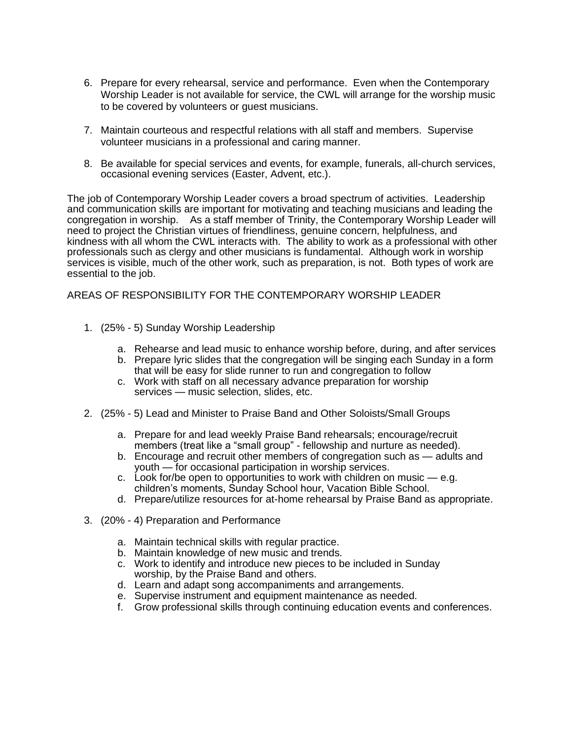- 6. Prepare for every rehearsal, service and performance. Even when the Contemporary Worship Leader is not available for service, the CWL will arrange for the worship music to be covered by volunteers or guest musicians.
- 7. Maintain courteous and respectful relations with all staff and members. Supervise volunteer musicians in a professional and caring manner.
- 8. Be available for special services and events, for example, funerals, all-church services, occasional evening services (Easter, Advent, etc.).

The job of Contemporary Worship Leader covers a broad spectrum of activities. Leadership and communication skills are important for motivating and teaching musicians and leading the congregation in worship. As a staff member of Trinity, the Contemporary Worship Leader will need to project the Christian virtues of friendliness, genuine concern, helpfulness, and kindness with all whom the CWL interacts with. The ability to work as a professional with other professionals such as clergy and other musicians is fundamental. Although work in worship services is visible, much of the other work, such as preparation, is not. Both types of work are essential to the job.

AREAS OF RESPONSIBILITY FOR THE CONTEMPORARY WORSHIP LEADER

- 1. (25% 5) Sunday Worship Leadership
	- a. Rehearse and lead music to enhance worship before, during, and after services
	- b. Prepare lyric slides that the congregation will be singing each Sunday in a form that will be easy for slide runner to run and congregation to follow
	- c. Work with staff on all necessary advance preparation for worship services — music selection, slides, etc.
- 2. (25% 5) Lead and Minister to Praise Band and Other Soloists/Small Groups
	- a. Prepare for and lead weekly Praise Band rehearsals; encourage/recruit members (treat like a "small group" - fellowship and nurture as needed).
	- b. Encourage and recruit other members of congregation such as adults and youth — for occasional participation in worship services.
	- c. Look for/be open to opportunities to work with children on music  $-$  e.g. children's moments, Sunday School hour, Vacation Bible School.
	- d. Prepare/utilize resources for at-home rehearsal by Praise Band as appropriate.
- 3. (20% 4) Preparation and Performance
	- a. Maintain technical skills with regular practice.
	- b. Maintain knowledge of new music and trends.
	- c. Work to identify and introduce new pieces to be included in Sunday worship, by the Praise Band and others.
	- d. Learn and adapt song accompaniments and arrangements.
	- e. Supervise instrument and equipment maintenance as needed.
	- f. Grow professional skills through continuing education events and conferences.